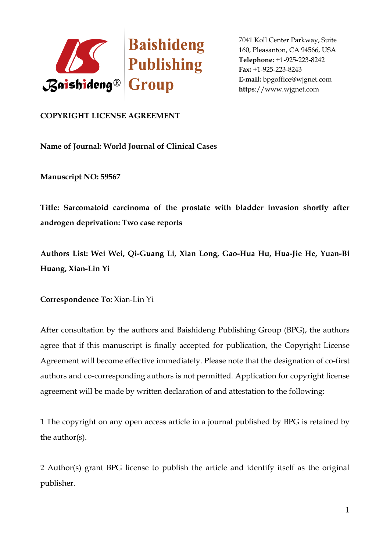

## **COPYRIGHT LICENSE AGREEMENT**

**Name of Journal: World Journal of Clinical Cases**

**Manuscript NO: 59567**

**Title: Sarcomatoid carcinoma of the prostate with bladder invasion shortly after androgen deprivation: Two case reports**

**Authors List: Wei Wei, Qi-Guang Li, Xian Long, Gao-Hua Hu, Hua-Jie He, Yuan-Bi Huang, Xian-Lin Yi**

**Correspondence To:** Xian-Lin Yi

After consultation by the authors and Baishideng Publishing Group (BPG), the authors agree that if this manuscript is finally accepted for publication, the Copyright License Agreement will become effective immediately. Please note that the designation of co-first authors and co-corresponding authors is not permitted. Application for copyright license agreement will be made by written declaration of and attestation to the following:

1 The copyright on any open access article in a journal published by BPG is retained by the author(s).

2 Author(s) grant BPG license to publish the article and identify itself as the original publisher.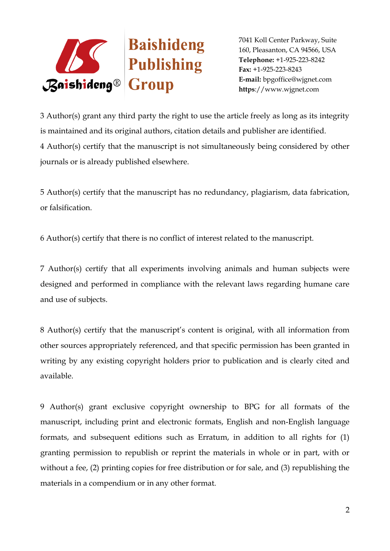

3 Author(s) grant any third party the right to use the article freely as long as its integrity is maintained and its original authors, citation details and publisher are identified. 4 Author(s) certify that the manuscript is not simultaneously being considered by other journals or is already published elsewhere.

5 Author(s) certify that the manuscript has no redundancy, plagiarism, data fabrication, or falsification.

6 Author(s) certify that there is no conflict of interest related to the manuscript.

7 Author(s) certify that all experiments involving animals and human subjects were designed and performed in compliance with the relevant laws regarding humane care and use of subjects.

8 Author(s) certify that the manuscript's content is original, with all information from other sources appropriately referenced, and that specific permission has been granted in writing by any existing copyright holders prior to publication and is clearly cited and available.

9 Author(s) grant exclusive copyright ownership to BPG for all formats of the manuscript, including print and electronic formats, English and non-English language formats, and subsequent editions such as Erratum, in addition to all rights for (1) granting permission to republish or reprint the materials in whole or in part, with or without a fee, (2) printing copies for free distribution or for sale, and (3) republishing the materials in a compendium or in any other format.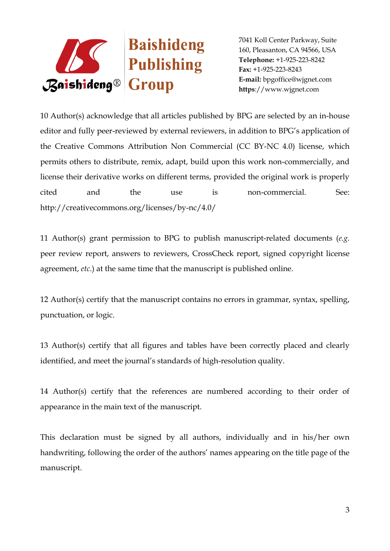

10 Author(s) acknowledge that all articles published by BPG are selected by an in-house editor and fully peer-reviewed by external reviewers, in addition to BPG's application of the Creative Commons Attribution Non Commercial (CC BY-NC 4.0) license, which permits others to distribute, remix, adapt, build upon this work non-commercially, and license their derivative works on different terms, provided the original work is properly cited and the use is non-commercial. See: http://creativecommons.org/licenses/by-nc/4.0/

11 Author(s) grant permission to BPG to publish manuscript-related documents (*e.g.* peer review report, answers to reviewers, CrossCheck report, signed copyright license agreement, *etc*.) at the same time that the manuscript is published online.

12 Author(s) certify that the manuscript contains no errors in grammar, syntax, spelling, punctuation, or logic.

13 Author(s) certify that all figures and tables have been correctly placed and clearly identified, and meet the journal's standards of high-resolution quality.

14 Author(s) certify that the references are numbered according to their order of appearance in the main text of the manuscript.

This declaration must be signed by all authors, individually and in his/her own handwriting, following the order of the authors' names appearing on the title page of the manuscript.